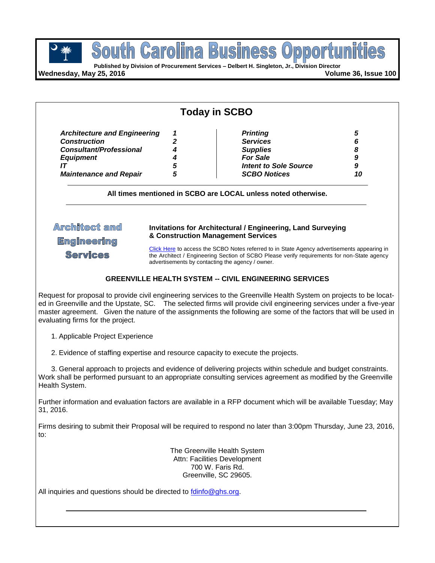

pportu **Published by Division of Procurement Services – Delbert H. Singleton, Jr., Division Director**

**South Carolina Business** 

**Wednesday, May 25, 2016 Volume 36, Issue 100**

| <b>Architecture and Engineering</b> | 1 | <b>Printing</b>              |    |
|-------------------------------------|---|------------------------------|----|
| <b>Construction</b>                 |   | <b>Services</b>              |    |
| <b>Consultant/Professional</b>      |   | <b>Supplies</b>              |    |
| <b>Equipment</b>                    |   | <b>For Sale</b>              |    |
|                                     | 5 | <b>Intent to Sole Source</b> | 9  |
| <b>Maintenance and Repair</b>       | 5 | <b>SCBO Notices</b>          | 10 |

## **Architect** and

**Engineering** 

**Services** 

#### **Invitations for Architectural / Engineering, Land Surveying & Construction Management Services**

[Click Here](http://www.mmo.sc.gov/PS/general/scbo/SCBO_Notes_060512.pdf) to access the SCBO Notes referred to in State Agency advertisements appearing in the Architect / Engineering Section of SCBO Please verify requirements for non-State agency advertisements by contacting the agency / owner.

#### **GREENVILLE HEALTH SYSTEM -- CIVIL ENGINEERING SERVICES**

Request for proposal to provide civil engineering services to the Greenville Health System on projects to be located in Greenville and the Upstate, SC. The selected firms will provide civil engineering services under a five-year master agreement. Given the nature of the assignments the following are some of the factors that will be used in evaluating firms for the project.

1. Applicable Project Experience

2. Evidence of staffing expertise and resource capacity to execute the projects.

3. General approach to projects and evidence of delivering projects within schedule and budget constraints. Work shall be performed pursuant to an appropriate consulting services agreement as modified by the Greenville Health System.

Further information and evaluation factors are available in a RFP document which will be available Tuesday; May 31, 2016.

Firms desiring to submit their Proposal will be required to respond no later than 3:00pm Thursday, June 23, 2016, to:

> The Greenville Health System Attn: Facilities Development 700 W. Faris Rd. Greenville, SC 29605.

All inquiries and questions should be directed to [fdinfo@ghs.org.](mailto:fdinfo@ghs.org)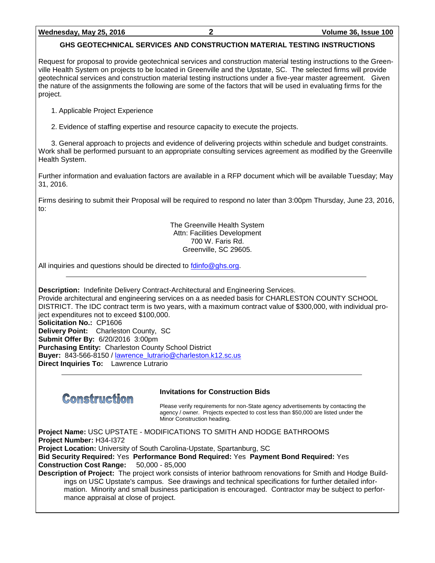## **GHS GEOTECHNICAL SERVICES AND CONSTRUCTION MATERIAL TESTING INSTRUCTIONS**

Request for proposal to provide geotechnical services and construction material testing instructions to the Greenville Health System on projects to be located in Greenville and the Upstate, SC. The selected firms will provide geotechnical services and construction material testing instructions under a five-year master agreement. Given the nature of the assignments the following are some of the factors that will be used in evaluating firms for the project.

1. Applicable Project Experience

2. Evidence of staffing expertise and resource capacity to execute the projects.

3. General approach to projects and evidence of delivering projects within schedule and budget constraints. Work shall be performed pursuant to an appropriate consulting services agreement as modified by the Greenville Health System.

Further information and evaluation factors are available in a RFP document which will be available Tuesday; May 31, 2016.

Firms desiring to submit their Proposal will be required to respond no later than 3:00pm Thursday, June 23, 2016, to:

> The Greenville Health System Attn: Facilities Development 700 W. Faris Rd. Greenville, SC 29605.

All inquiries and questions should be directed to  $\frac{\text{fdinfo}\textcircled{q}}{\text{ghs.org}}$ .

**Description:** Indefinite Delivery Contract-Architectural and Engineering Services.

Provide architectural and engineering services on a as needed basis for CHARLESTON COUNTY SCHOOL DISTRICT. The IDC contract term is two years, with a maximum contract value of \$300,000, with individual project expenditures not to exceed \$100,000. **Solicitation No.:** CP1606 **Delivery Point:** Charleston County, SC **Submit Offer By:** 6/20/2016 3:00pm **Purchasing Entity:** Charleston County School District **Buyer:** 843-566-8150 / [lawrence\\_lutrario@charleston.k12.sc.us](mailto:lawrence_lutrario@charleston.k12.sc.us) **Direct Inquiries To:** Lawrence Lutrario



#### **Invitations for Construction Bids**

Please verify requirements for non-State agency advertisements by contacting the agency / owner. Projects expected to cost less than \$50,000 are listed under the Minor Construction heading.

**Project Name:** USC UPSTATE - MODIFICATIONS TO SMITH AND HODGE BATHROOMS **Project Number:** H34-I372

**Project Location:** University of South Carolina-Upstate, Spartanburg, SC

**Bid Security Required:** Yes **Performance Bond Required:** Yes **Payment Bond Required:** Yes **Construction Cost Range:** 50,000 - 85,000

**Description of Project:** The project work consists of interior bathroom renovations for Smith and Hodge Buildings on USC Upstate's campus. See drawings and technical specifications for further detailed information. Minority and small business participation is encouraged. Contractor may be subject to performance appraisal at close of project.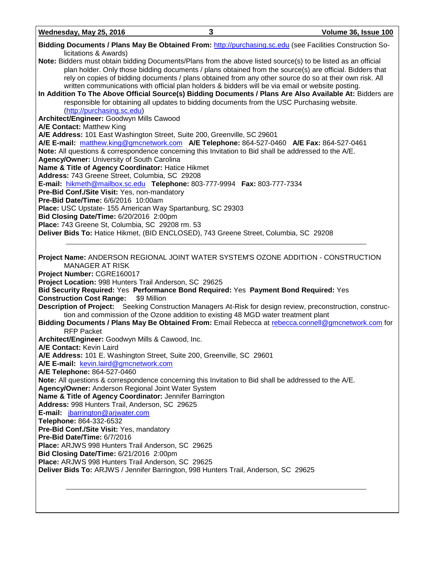| Wednesday, May 25, 2016                                                                                                                | 3                                                                                                                                                                                                | Volume 36, Issue 100                                                                                                                                                                                                                                                                                                            |
|----------------------------------------------------------------------------------------------------------------------------------------|--------------------------------------------------------------------------------------------------------------------------------------------------------------------------------------------------|---------------------------------------------------------------------------------------------------------------------------------------------------------------------------------------------------------------------------------------------------------------------------------------------------------------------------------|
|                                                                                                                                        |                                                                                                                                                                                                  | Bidding Documents / Plans May Be Obtained From: http://purchasing.sc.edu (see Facilities Construction So-                                                                                                                                                                                                                       |
| licitations & Awards)<br>Note: Bidders must obtain bidding Documents/Plans from the above listed source(s) to be listed as an official | written communications with official plan holders & bidders will be via email or website posting.<br>responsible for obtaining all updates to bidding documents from the USC Purchasing website. | plan holder. Only those bidding documents / plans obtained from the source(s) are official. Bidders that<br>rely on copies of bidding documents / plans obtained from any other source do so at their own risk. All<br>In Addition To The Above Official Source(s) Bidding Documents / Plans Are Also Available At: Bidders are |
| (http://purchasing.sc.edu)<br>Architect/Engineer: Goodwyn Mills Cawood                                                                 |                                                                                                                                                                                                  |                                                                                                                                                                                                                                                                                                                                 |
| <b>A/E Contact: Matthew King</b>                                                                                                       |                                                                                                                                                                                                  |                                                                                                                                                                                                                                                                                                                                 |
| A/E Address: 101 East Washington Street, Suite 200, Greenville, SC 29601                                                               |                                                                                                                                                                                                  |                                                                                                                                                                                                                                                                                                                                 |
| A/E E-mail: matthew.king@gmcnetwork.com A/E Telephone: 864-527-0460 A/E Fax: 864-527-0461                                              |                                                                                                                                                                                                  |                                                                                                                                                                                                                                                                                                                                 |
| Note: All questions & correspondence concerning this Invitation to Bid shall be addressed to the A/E.                                  |                                                                                                                                                                                                  |                                                                                                                                                                                                                                                                                                                                 |
| Agency/Owner: University of South Carolina                                                                                             |                                                                                                                                                                                                  |                                                                                                                                                                                                                                                                                                                                 |
| Name & Title of Agency Coordinator: Hatice Hikmet                                                                                      |                                                                                                                                                                                                  |                                                                                                                                                                                                                                                                                                                                 |
| Address: 743 Greene Street, Columbia, SC 29208                                                                                         |                                                                                                                                                                                                  |                                                                                                                                                                                                                                                                                                                                 |
| E-mail: hikmeth@mailbox.sc.edu Telephone: 803-777-9994 Fax: 803-777-7334                                                               |                                                                                                                                                                                                  |                                                                                                                                                                                                                                                                                                                                 |
| Pre-Bid Conf./Site Visit: Yes, non-mandatory                                                                                           |                                                                                                                                                                                                  |                                                                                                                                                                                                                                                                                                                                 |
| Pre-Bid Date/Time: 6/6/2016 10:00am<br>Place: USC Upstate- 155 American Way Spartanburg, SC 29303                                      |                                                                                                                                                                                                  |                                                                                                                                                                                                                                                                                                                                 |
| Bid Closing Date/Time: 6/20/2016 2:00pm                                                                                                |                                                                                                                                                                                                  |                                                                                                                                                                                                                                                                                                                                 |
| Place: 743 Greene St, Columbia, SC 29208 rm. 53                                                                                        |                                                                                                                                                                                                  |                                                                                                                                                                                                                                                                                                                                 |
| Deliver Bids To: Hatice Hikmet, (BID ENCLOSED), 743 Greene Street, Columbia, SC 29208                                                  |                                                                                                                                                                                                  |                                                                                                                                                                                                                                                                                                                                 |
|                                                                                                                                        |                                                                                                                                                                                                  |                                                                                                                                                                                                                                                                                                                                 |
| Project Name: ANDERSON REGIONAL JOINT WATER SYSTEM'S OZONE ADDITION - CONSTRUCTION<br><b>MANAGER AT RISK</b>                           |                                                                                                                                                                                                  |                                                                                                                                                                                                                                                                                                                                 |
| Project Number: CGRE160017                                                                                                             |                                                                                                                                                                                                  |                                                                                                                                                                                                                                                                                                                                 |
| Project Location: 998 Hunters Trail Anderson, SC 29625                                                                                 |                                                                                                                                                                                                  |                                                                                                                                                                                                                                                                                                                                 |
| Bid Security Required: Yes Performance Bond Required: Yes Payment Bond Required: Yes<br><b>Construction Cost Range:</b><br>\$9 Million |                                                                                                                                                                                                  |                                                                                                                                                                                                                                                                                                                                 |
|                                                                                                                                        |                                                                                                                                                                                                  | Description of Project: Seeking Construction Managers At-Risk for design review, preconstruction, construc-                                                                                                                                                                                                                     |
|                                                                                                                                        | tion and commission of the Ozone addition to existing 48 MGD water treatment plant                                                                                                               | Bidding Documents / Plans May Be Obtained From: Email Rebecca at rebecca.connell@gmcnetwork.com for                                                                                                                                                                                                                             |
| <b>RFP Packet</b>                                                                                                                      |                                                                                                                                                                                                  |                                                                                                                                                                                                                                                                                                                                 |
| Architect/Engineer: Goodwyn Mills & Cawood, Inc.                                                                                       |                                                                                                                                                                                                  |                                                                                                                                                                                                                                                                                                                                 |
| A/E Contact: Kevin Laird                                                                                                               |                                                                                                                                                                                                  |                                                                                                                                                                                                                                                                                                                                 |
| A/E Address: 101 E. Washington Street, Suite 200, Greenville, SC 29601<br>A/E E-mail: kevin.laird@gmcnetwork.com                       |                                                                                                                                                                                                  |                                                                                                                                                                                                                                                                                                                                 |
| A/E Telephone: 864-527-0460                                                                                                            |                                                                                                                                                                                                  |                                                                                                                                                                                                                                                                                                                                 |
| Note: All questions & correspondence concerning this Invitation to Bid shall be addressed to the A/E.                                  |                                                                                                                                                                                                  |                                                                                                                                                                                                                                                                                                                                 |
| Agency/Owner: Anderson Regional Joint Water System                                                                                     |                                                                                                                                                                                                  |                                                                                                                                                                                                                                                                                                                                 |
| Name & Title of Agency Coordinator: Jennifer Barrington                                                                                |                                                                                                                                                                                                  |                                                                                                                                                                                                                                                                                                                                 |
| Address: 998 Hunters Trail, Anderson, SC 29625                                                                                         |                                                                                                                                                                                                  |                                                                                                                                                                                                                                                                                                                                 |
| E-mail: <i>jbarrington@arjwater.com</i>                                                                                                |                                                                                                                                                                                                  |                                                                                                                                                                                                                                                                                                                                 |
| Telephone: 864-332-6532                                                                                                                |                                                                                                                                                                                                  |                                                                                                                                                                                                                                                                                                                                 |
| Pre-Bid Conf./Site Visit: Yes, mandatory                                                                                               |                                                                                                                                                                                                  |                                                                                                                                                                                                                                                                                                                                 |
| Pre-Bid Date/Time: 6/7/2016                                                                                                            |                                                                                                                                                                                                  |                                                                                                                                                                                                                                                                                                                                 |
| Place: ARJWS 998 Hunters Trail Anderson, SC 29625                                                                                      |                                                                                                                                                                                                  |                                                                                                                                                                                                                                                                                                                                 |
| Bid Closing Date/Time: 6/21/2016 2:00pm<br>Place: ARJWS 998 Hunters Trail Anderson, SC 29625                                           |                                                                                                                                                                                                  |                                                                                                                                                                                                                                                                                                                                 |
| Deliver Bids To: ARJWS / Jennifer Barrington, 998 Hunters Trail, Anderson, SC 29625                                                    |                                                                                                                                                                                                  |                                                                                                                                                                                                                                                                                                                                 |
|                                                                                                                                        |                                                                                                                                                                                                  |                                                                                                                                                                                                                                                                                                                                 |
|                                                                                                                                        |                                                                                                                                                                                                  |                                                                                                                                                                                                                                                                                                                                 |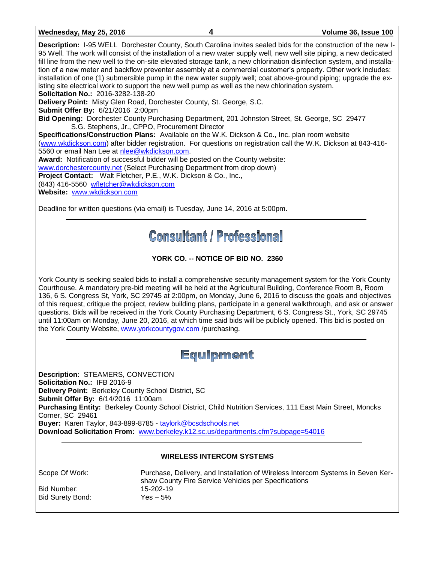| Wednesday, May 25, 2016                                                                                                                                                                                                                                                                                                                                    | Volume 36, Issue 100                                                                                                                                                                                                                                                                                                                                                                                                                                                                                                                                                                                           |
|------------------------------------------------------------------------------------------------------------------------------------------------------------------------------------------------------------------------------------------------------------------------------------------------------------------------------------------------------------|----------------------------------------------------------------------------------------------------------------------------------------------------------------------------------------------------------------------------------------------------------------------------------------------------------------------------------------------------------------------------------------------------------------------------------------------------------------------------------------------------------------------------------------------------------------------------------------------------------------|
| isting site electrical work to support the new well pump as well as the new chlorination system.<br><b>Solicitation No.: 2016-3282-138-20</b>                                                                                                                                                                                                              | <b>Description:</b> 1-95 WELL Dorchester County, South Carolina invites sealed bids for the construction of the new 1-<br>95 Well. The work will consist of the installation of a new water supply well, new well site piping, a new dedicated<br>fill line from the new well to the on-site elevated storage tank, a new chlorination disinfection system, and installa-<br>tion of a new meter and backflow preventer assembly at a commercial customer's property. Other work includes:<br>installation of one (1) submersible pump in the new water supply well; coat above-ground piping; upgrade the ex- |
| <b>Delivery Point:</b> Misty Glen Road, Dorchester County, St. George, S.C.                                                                                                                                                                                                                                                                                |                                                                                                                                                                                                                                                                                                                                                                                                                                                                                                                                                                                                                |
| <b>Submit Offer By: 6/21/2016 2:00pm</b><br><b>Bid Opening:</b> Dorchester County Purchasing Department, 201 Johnston Street, St. George, SC 29477<br>S.G. Stephens, Jr., CPPO, Procurement Director                                                                                                                                                       |                                                                                                                                                                                                                                                                                                                                                                                                                                                                                                                                                                                                                |
| Specifications/Construction Plans: Available on the W.K. Dickson & Co., Inc. plan room website                                                                                                                                                                                                                                                             |                                                                                                                                                                                                                                                                                                                                                                                                                                                                                                                                                                                                                |
| 5560 or email Nan Lee at nlee@wkdickson.com.<br>Award: Notification of successful bidder will be posted on the County website:<br>www.dorchestercounty.net (Select Purchasing Department from drop down)<br><b>Project Contact:</b> Walt Fletcher, P.E., W.K. Dickson & Co., Inc.,<br>(843) 416-5560 wfletcher@wkdickson.com<br>Website: www.wkdickson.com | (www.wkdickson.com) after bidder registration. For questions on registration call the W.K. Dickson at 843-416-                                                                                                                                                                                                                                                                                                                                                                                                                                                                                                 |
|                                                                                                                                                                                                                                                                                                                                                            |                                                                                                                                                                                                                                                                                                                                                                                                                                                                                                                                                                                                                |

Deadline for written questions (via email) is Tuesday, June 14, 2016 at 5:00pm.

# **Consultant / Professional**

## **YORK CO. -- NOTICE OF BID NO. 2360**

York County is seeking sealed bids to install a comprehensive security management system for the York County Courthouse. A mandatory pre-bid meeting will be held at the Agricultural Building, Conference Room B, Room 136, 6 S. Congress St, York, SC 29745 at 2:00pm, on Monday, June 6, 2016 to discuss the goals and objectives of this request, critique the project, review building plans, participate in a general walkthrough, and ask or answer questions. Bids will be received in the York County Purchasing Department, 6 S. Congress St., York, SC 29745 until 11:00am on Monday, June 20, 2016, at which time said bids will be publicly opened. This bid is posted on the York County Website, [www.yorkcountygov.com](http://www.yorkcountygov.com/) /purchasing.

## Equipment

**Description:** STEAMERS, CONVECTION **Solicitation No.:** IFB 2016-9 **Delivery Point:** Berkeley County School District, SC **Submit Offer By:** 6/14/2016 11:00am **Purchasing Entity:** Berkeley County School District, Child Nutrition Services, 111 East Main Street, Moncks Corner, SC 29461 **Buyer:** Karen Taylor, 843-899-8785 - [taylork@bcsdschools.net](mailto:taylork@bcsdschools.net) **Download Solicitation From:** [www.berkeley.k12.sc.us/departments.cfm?subpage=54016](http://www.berkeley.k12.sc.us/departments.cfm?subpage=54016)

### **WIRELESS INTERCOM SYSTEMS**

Scope Of Work: Purchase, Delivery, and Installation of Wireless Intercom Systems in Seven Kershaw County Fire Service Vehicles per Specifications Bid Number: 15-202-19<br>Bid Surety Bond: 7es – 5% Bid Surety Bond: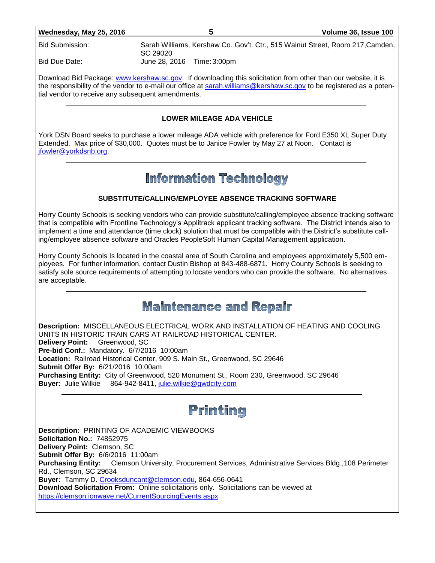| Wednesday, May 25, 2016 |
|-------------------------|
|-------------------------|

Bid Submission: Sarah Williams, Kershaw Co. Gov't. Ctr., 515 Walnut Street, Room 217,Camden, SC 29020

Bid Due Date: June 28, 2016 Time:3:00pm

Download Bid Package: [www.kershaw.sc.gov.](http://www.kershaw.sc.gov/) If downloading this solicitation from other than our website, it is the responsibility of the vendor to e-mail our office at [sarah.williams@kershaw.sc.gov](mailto:sarah.williams@kershaw.sc.gov) to be registered as a potential vendor to receive any subsequent amendments.

#### **LOWER MILEAGE ADA VEHICLE**

York DSN Board seeks to purchase a lower mileage ADA vehicle with preference for Ford E350 XL Super Duty Extended. Max price of \$30,000. Quotes must be to Janice Fowler by May 27 at Noon. Contact is [jfowler@yorkdsnb.org.](mailto:jfowler@yorkdsnb.org)

## **Information Technology**

### **SUBSTITUTE/CALLING/EMPLOYEE ABSENCE TRACKING SOFTWARE**

Horry County Schools is seeking vendors who can provide substitute/calling/employee absence tracking software that is compatible with Frontline Technology's Applitrack applicant tracking software. The District intends also to implement a time and attendance (time clock) solution that must be compatible with the District's substitute calling/employee absence software and Oracles PeopleSoft Human Capital Management application.

Horry County Schools Is located in the coastal area of South Carolina and employees approximately 5,500 employees. For further information, contact Dustin Bishop at 843-488-6871. Horry County Schools is seeking to satisfy sole source requirements of attempting to locate vendors who can provide the software. No alternatives are acceptable.

## **Maintenance and Repair**

**Description:** MISCELLANEOUS ELECTRICAL WORK AND INSTALLATION OF HEATING AND COOLING UNITS IN HISTORIC TRAIN CARS AT RAILROAD HISTORICAL CENTER. **Delivery Point:** Greenwood, SC **Pre-bid Conf.:** Mandatory. 6/7/2016 10:00am **Location:** Railroad Historical Center, 909 S. Main St., Greenwood, SC 29646 **Submit Offer By:** 6/21/2016 10:00am **Purchasing Entity:** City of Greenwood, 520 Monument St., Room 230, Greenwood, SC 29646 Buyer: Julie Wilkie 864-942-8411, [julie.wilkie@gwdcity.com](mailto:julie.wilkie@gwdcity.com)

# Printing

**Description:** PRINTING OF ACADEMIC VIEWBOOKS **Solicitation No.:** 74852975 **Delivery Point:** Clemson, SC **Submit Offer By:** 6/6/2016 11:00am **Purchasing Entity:** Clemson University, Procurement Services, Administrative Services Bldg.,108 Perimeter Rd., Clemson, SC 29634 **Buyer:** Tammy D. [Crooksduncant@clemson.edu,](mailto:Crooksduncant@clemson.edu) 864-656-0641 **Download Solicitation From:** Online solicitations only. Solicitations can be viewed at <https://clemson.ionwave.net/CurrentSourcingEvents.aspx>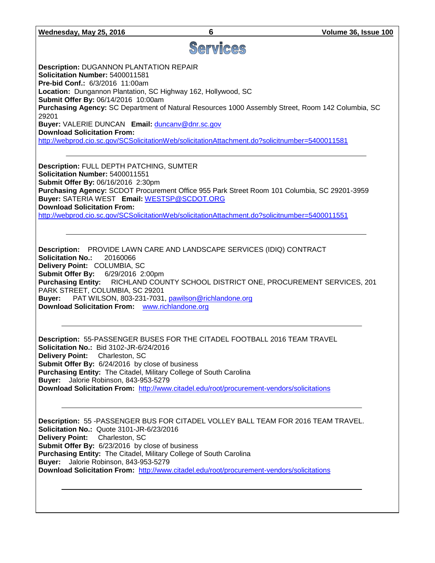# Services

**Description:** DUGANNON PLANTATION REPAIR **Solicitation Number:** 5400011581 **Pre-bid Conf.:** 6/3/2016 11:00am **Location:** Dungannon Plantation, SC Highway 162, Hollywood, SC **Submit Offer By:** 06/14/2016 10:00am **Purchasing Agency:** SC Department of Natural Resources 1000 Assembly Street, Room 142 Columbia, SC 29201 **Buyer:** VALERIE DUNCAN **Email:** [duncanv@dnr.sc.gov](mailto:duncanv@dnr.sc.gov) **Download Solicitation From:** 

<http://webprod.cio.sc.gov/SCSolicitationWeb/solicitationAttachment.do?solicitnumber=5400011581>

**Description:** FULL DEPTH PATCHING, SUMTER **Solicitation Number:** 5400011551 **Submit Offer By:** 06/16/2016 2:30pm **Purchasing Agency:** SCDOT Procurement Office 955 Park Street Room 101 Columbia, SC 29201-3959 **Buyer:** SATERIA WEST **Email:** [WESTSP@SCDOT.ORG](mailto:WESTSP@SCDOT.ORG) **Download Solicitation From:**  <http://webprod.cio.sc.gov/SCSolicitationWeb/solicitationAttachment.do?solicitnumber=5400011551>

**Description:** PROVIDE LAWN CARE AND LANDSCAPE SERVICES (IDIQ) CONTRACT **Solicitation No.:** 20160066 **Delivery Point:** COLUMBIA, SC **Submit Offer By:** 6/29/2016 2:00pm **Purchasing Entity:** RICHLAND COUNTY SCHOOL DISTRICT ONE, PROCUREMENT SERVICES, 201 PARK STREET, COLUMBIA, SC 29201 **Buyer:** PAT WILSON, 803-231-7031, [pawilson@richlandone.org](mailto:pawilson@richlandone.org) **Download Solicitation From:** [www.richlandone.org](http://www.richlandone.org/)

**Description:** 55-PASSENGER BUSES FOR THE CITADEL FOOTBALL 2016 TEAM TRAVEL **Solicitation No.:** Bid 3102-JR-6/24/2016 **Delivery Point:** Charleston, SC **Submit Offer By:** 6/24/2016 by close of business **Purchasing Entity:** The Citadel, Military College of South Carolina **Buyer:** Jalorie Robinson, 843-953-5279 **Download Solicitation From:** <http://www.citadel.edu/root/procurement-vendors/solicitations>

**Description:** 55 -PASSENGER BUS FOR CITADEL VOLLEY BALL TEAM FOR 2016 TEAM TRAVEL. **Solicitation No.:** Quote 3101-JR-6/23/2016 **Delivery Point:** Charleston, SC **Submit Offer By:** 6/23/2016 by close of business **Purchasing Entity:** The Citadel, Military College of South Carolina **Buyer:** Jalorie Robinson, 843-953-5279 **Download Solicitation From:** <http://www.citadel.edu/root/procurement-vendors/solicitations>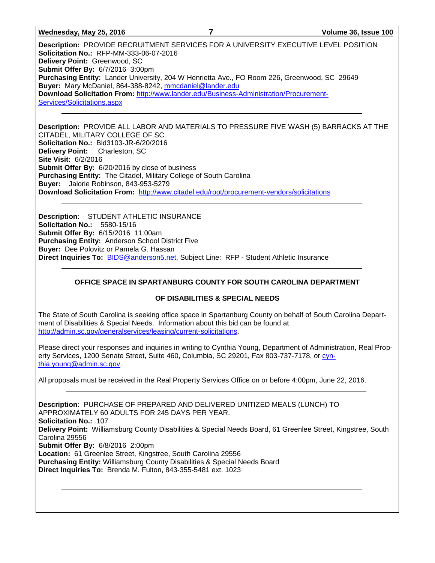**Wednesday, May 25, 2016 7 Volume 36, Issue 100**

**Description:** PROVIDE RECRUITMENT SERVICES FOR A UNIVERSITY EXECUTIVE LEVEL POSITION **Solicitation No.:** RFP-MM-333-06-07-2016 **Delivery Point:** Greenwood, SC **Submit Offer By:** 6/7/2016 3:00pm **Purchasing Entity:** Lander University, 204 W Henrietta Ave., FO Room 226, Greenwood, SC 29649 **Buyer:** Mary McDaniel, 864-388-8242, [mmcdaniel@lander.edu](mailto:mmcdaniel@lander.edu) **Download Solicitation From:** [http://www.lander.edu/Business-Administration/Procurement-](http://www.lander.edu/Business-Administration/Procurement-Services/Solicitations.aspx)[Services/Solicitations.aspx](http://www.lander.edu/Business-Administration/Procurement-Services/Solicitations.aspx)

**Description:** PROVIDE ALL LABOR AND MATERIALS TO PRESSURE FIVE WASH (5) BARRACKS AT THE CITADEL, MILITARY COLLEGE OF SC. **Solicitation No.:** Bid3103-JR-6/20/2016 **Delivery Point:** Charleston, SC **Site Visit:** 6/2/2016 **Submit Offer By:** 6/20/2016 by close of business **Purchasing Entity:** The Citadel, Military College of South Carolina **Buyer:** Jalorie Robinson, 843-953-5279 **Download Solicitation From:** <http://www.citadel.edu/root/procurement-vendors/solicitations>

**Description:** STUDENT ATHLETIC INSURANCE **Solicitation No.:** 5580-15/16 **Submit Offer By:** 6/15/2016 11:00am **Purchasing Entity:** Anderson School District Five **Buyer:** Dee Polovitz or Pamela G. Hassan Direct Inquiries To: **BIDS@anderson5.net, Subject Line: RFP - Student Athletic Insurance** 

#### **OFFICE SPACE IN SPARTANBURG COUNTY FOR SOUTH CAROLINA DEPARTMENT**

#### **OF DISABILITIES & SPECIAL NEEDS**

The State of South Carolina is seeking office space in Spartanburg County on behalf of South Carolina Department of Disabilities & Special Needs. Information about this bid can be found at [http://admin.sc.gov/generalservices/leasing/current-solicitations.](http://admin.sc.gov/generalservices/leasing/current-solicitations)

Please direct your responses and inquiries in writing to Cynthia Young, Department of Administration, Real Property Services, 1200 Senate Street, Suite 460, Columbia, SC 29201, Fax 803-737-7178, or [cyn](mailto:cynthia.young@admin.sc.gov)[thia.young@admin.sc.gov.](mailto:cynthia.young@admin.sc.gov)

All proposals must be received in the Real Property Services Office on or before 4:00pm, June 22, 2016.

**Description:** PURCHASE OF PREPARED AND DELIVERED UNITIZED MEALS (LUNCH) TO APPROXIMATELY 60 ADULTS FOR 245 DAYS PER YEAR. **Solicitation No.:** 107 **Delivery Point:** Williamsburg County Disabilities & Special Needs Board, 61 Greenlee Street, Kingstree, South Carolina 29556 **Submit Offer By:** 6/8/2016 2:00pm **Location:** 61 Greenlee Street, Kingstree, South Carolina 29556 **Purchasing Entity:** Williamsburg County Disabilities & Special Needs Board **Direct Inquiries To:** Brenda M. Fulton, 843-355-5481 ext. 1023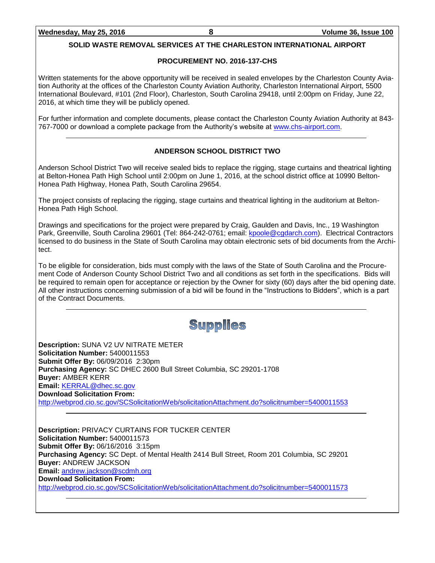### **SOLID WASTE REMOVAL SERVICES AT THE CHARLESTON INTERNATIONAL AIRPORT**

### **PROCUREMENT NO. 2016-137-CHS**

Written statements for the above opportunity will be received in sealed envelopes by the Charleston County Aviation Authority at the offices of the Charleston County Aviation Authority, Charleston International Airport, 5500 International Boulevard, #101 (2nd Floor), Charleston, South Carolina 29418, until 2:00pm on Friday, June 22, 2016, at which time they will be publicly opened.

For further information and complete documents, please contact the Charleston County Aviation Authority at 843- 767-7000 or download a complete package from the Authority's website at [www.chs-airport.com.](http://www.chs-airport.com/)

#### **ANDERSON SCHOOL DISTRICT TWO**

Anderson School District Two will receive sealed bids to replace the rigging, stage curtains and theatrical lighting at Belton-Honea Path High School until 2:00pm on June 1, 2016, at the school district office at 10990 Belton-Honea Path Highway, Honea Path, South Carolina 29654.

The project consists of replacing the rigging, stage curtains and theatrical lighting in the auditorium at Belton-Honea Path High School.

Drawings and specifications for the project were prepared by Craig, Gaulden and Davis, Inc., 19 Washington Park, Greenville, South Carolina 29601 (Tel: 864-242-0761; email: [kpoole@cgdarch.com\)](mailto:kpoole@cgdarch.com). Electrical Contractors licensed to do business in the State of South Carolina may obtain electronic sets of bid documents from the Architect.

To be eligible for consideration, bids must comply with the laws of the State of South Carolina and the Procurement Code of Anderson County School District Two and all conditions as set forth in the specifications. Bids will be required to remain open for acceptance or rejection by the Owner for sixty (60) days after the bid opening date. All other instructions concerning submission of a bid will be found in the "Instructions to Bidders", which is a part of the Contract Documents.

## Supplies

**Description:** SUNA V2 UV NITRATE METER **Solicitation Number:** 5400011553 **Submit Offer By:** 06/09/2016 2:30pm **Purchasing Agency:** SC DHEC 2600 Bull Street Columbia, SC 29201-1708 **Buyer:** AMBER KERR **Email:** [KERRAL@dhec.sc.gov](mailto:KERRAL@dhec.sc.gov) **Download Solicitation From:**  <http://webprod.cio.sc.gov/SCSolicitationWeb/solicitationAttachment.do?solicitnumber=5400011553>

**Description:** PRIVACY CURTAINS FOR TUCKER CENTER **Solicitation Number:** 5400011573 **Submit Offer By:** 06/16/2016 3:15pm **Purchasing Agency:** SC Dept. of Mental Health 2414 Bull Street, Room 201 Columbia, SC 29201 **Buyer:** ANDREW JACKSON **Email:** [andrew.jackson@scdmh.org](mailto:andrew.jackson@scdmh.org) **Download Solicitation From:**  <http://webprod.cio.sc.gov/SCSolicitationWeb/solicitationAttachment.do?solicitnumber=5400011573>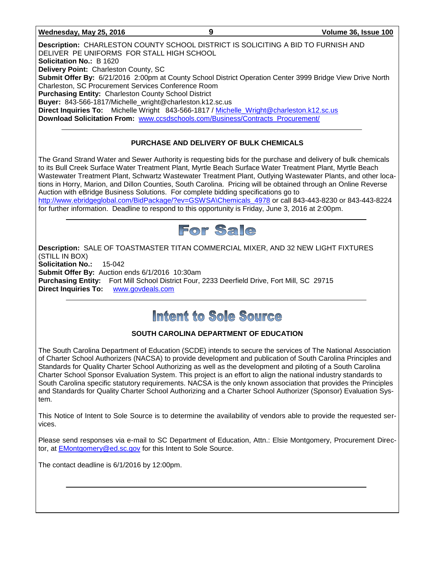#### **Wednesday, May 25, 2016 9 Volume 36, Issue 100**

**Description:** CHARLESTON COUNTY SCHOOL DISTRICT IS SOLICITING A BID TO FURNISH AND DELIVER PE UNIFORMS FOR STALL HIGH SCHOOL **Solicitation No.:** B 1620 **Delivery Point:** Charleston County, SC **Submit Offer By:** 6/21/2016 2:00pm at County School District Operation Center 3999 Bridge View Drive North Charleston, SC Procurement Services Conference Room **Purchasing Entity:** Charleston County School District **Buyer:** 843-566-1817/Michelle\_wright@charleston.k12.sc.us **Direct Inquiries To:** Michelle Wright 843-566-1817 / [Michelle\\_Wright@charleston.k12.sc.us](mailto:Michelle_Wright@charleston.k12.sc.us) **Download Solicitation From:** [www.ccsdschools.com/Business/Contracts\\_Procurement/](http://www.ccsdschools.com/Business/Contracts_Procurement/)

#### **PURCHASE AND DELIVERY OF BULK CHEMICALS**

The Grand Strand Water and Sewer Authority is requesting bids for the purchase and delivery of bulk chemicals to its Bull Creek Surface Water Treatment Plant, Myrtle Beach Surface Water Treatment Plant, Myrtle Beach Wastewater Treatment Plant, Schwartz Wastewater Treatment Plant, Outlying Wastewater Plants, and other locations in Horry, Marion, and Dillon Counties, South Carolina. Pricing will be obtained through an Online Reverse Auction with eBridge Business Solutions. For complete bidding specifications go to [http://www.ebridgeglobal.com/BidPackage/?ev=GSWSA\Chemicals\\_4978](http://www.ebridgeglobal.com/BidPackage/?ev=GSWSA/Chemicals_4978) or call 843-443-8230 or 843-443-8224 for further information. Deadline to respond to this opportunity is Friday, June 3, 2016 at 2:00pm.



**Description:** SALE OF TOASTMASTER TITAN COMMERCIAL MIXER, AND 32 NEW LIGHT FIXTURES (STILL IN BOX) **Solicitation No.:** 15-042 **Submit Offer By:** Auction ends 6/1/2016 10:30am **Purchasing Entity:** Fort Mill School District Four, 2233 Deerfield Drive, Fort Mill, SC 29715 **Direct Inquiries To:** [www.govdeals.com](http://www.govdeals.com/)

# Intent to Sole Source

#### **SOUTH CAROLINA DEPARTMENT OF EDUCATION**

The South Carolina Department of Education (SCDE) intends to secure the services of The National Association of Charter School Authorizers (NACSA) to provide development and publication of South Carolina Principles and Standards for Quality Charter School Authorizing as well as the development and piloting of a South Carolina Charter School Sponsor Evaluation System. This project is an effort to align the national industry standards to South Carolina specific statutory requirements. NACSA is the only known association that provides the Principles and Standards for Quality Charter School Authorizing and a Charter School Authorizer (Sponsor) Evaluation System.

This Notice of Intent to Sole Source is to determine the availability of vendors able to provide the requested services.

Please send responses via e-mail to SC Department of Education, Attn.: Elsie Montgomery, Procurement Director, at [EMontgomery@ed.sc.gov](mailto:EMontgomery@ed.sc.gov) for this Intent to Sole Source.

The contact deadline is 6/1/2016 by 12:00pm.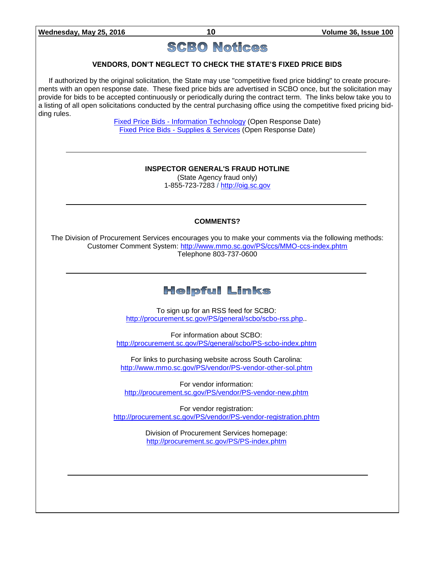## **SCBO Notices**

#### **VENDORS, DON'T NEGLECT TO CHECK THE STATE'S FIXED PRICE BIDS**

If authorized by the original solicitation, the State may use "competitive fixed price bidding" to create procurements with an open response date. These fixed price bids are advertised in SCBO once, but the solicitation may provide for bids to be accepted continuously or periodically during the contract term. The links below take you to a listing of all open solicitations conducted by the central purchasing office using the competitive fixed pricing bidding rules.

> Fixed Price Bids - [Information Technology](http://www.mmo.sc.gov/PS/vendor/PS-vendor-fixed-price-bids-it.phtm) (Open Response Date) Fixed Price Bids - [Supplies & Services](http://www.mmo.sc.gov/PS/vendor/PS-vendor-fixed-price-bids-ss.phtm) (Open Response Date)

#### **INSPECTOR GENERAL'S FRAUD HOTLINE**

(State Agency fraud only) 1-855-723-7283 / [http://oig.sc.gov](http://oig.sc.gov/)

#### **COMMENTS?**

The Division of Procurement Services encourages you to make your comments via the following methods: Customer Comment System:<http://www.mmo.sc.gov/PS/ccs/MMO-ccs-index.phtm> Telephone 803-737-0600

## **Helpful Links**

To sign up for an RSS feed for SCBO: [http://procurement.sc.gov/PS/general/scbo/scbo-rss.php.](http://procurement.sc.gov/PS/general/scbo/scbo-rss.php).

For information about SCBO: <http://procurement.sc.gov/PS/general/scbo/PS-scbo-index.phtm>

For links to purchasing website across South Carolina: <http://www.mmo.sc.gov/PS/vendor/PS-vendor-other-sol.phtm>

For vendor information: <http://procurement.sc.gov/PS/vendor/PS-vendor-new.phtm>

For vendor registration: <http://procurement.sc.gov/PS/vendor/PS-vendor-registration.phtm>

> Division of Procurement Services homepage: <http://procurement.sc.gov/PS/PS-index.phtm>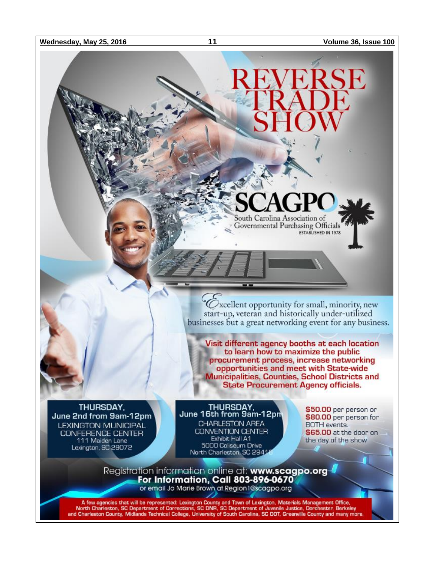**Wednesday, May 25, 2016 11 Volume 36, Issue 100**